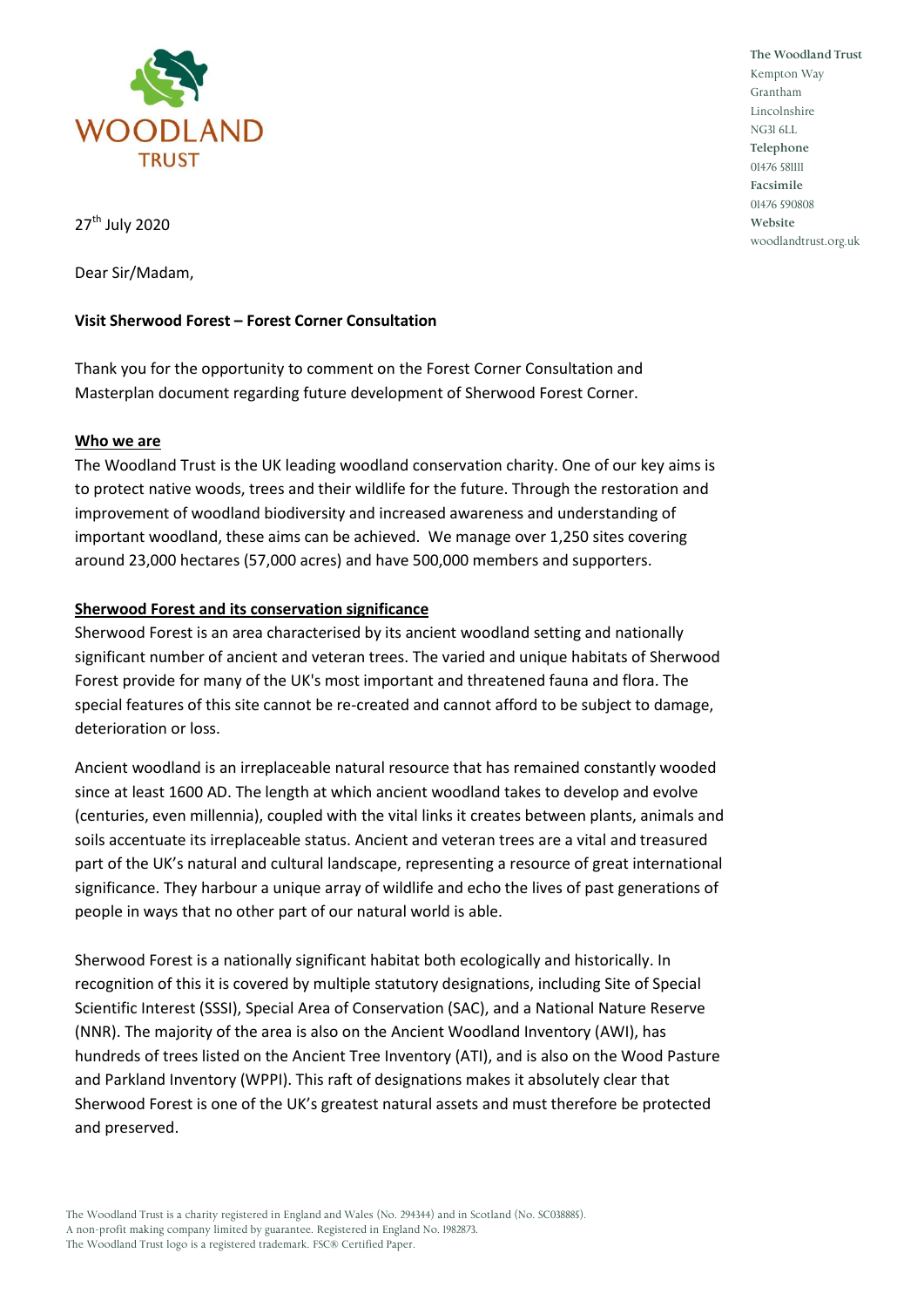

**The Woodland Trust** Kempton Way Grantham Lincolnshire NG31 6LL **Telephone** 01476 581111 **Facsimile** 01476 590808 **Website** woodlandtrust.org.uk

27<sup>th</sup> July 2020

Dear Sir/Madam,

# **Visit Sherwood Forest – Forest Corner Consultation**

Thank you for the opportunity to comment on the Forest Corner Consultation and Masterplan document regarding future development of Sherwood Forest Corner.

#### **Who we are**

The Woodland Trust is the UK leading woodland conservation charity. One of our key aims is to protect native woods, trees and their wildlife for the future. Through the restoration and improvement of woodland biodiversity and increased awareness and understanding of important woodland, these aims can be achieved. We manage over 1,250 sites covering around 23,000 hectares (57,000 acres) and have 500,000 members and supporters.

# **Sherwood Forest and its conservation significance**

Sherwood Forest is an area characterised by its ancient woodland setting and nationally significant number of ancient and veteran trees. The varied and unique habitats of Sherwood Forest provide for many of the UK's most important and threatened fauna and flora. The special features of this site cannot be re-created and cannot afford to be subject to damage, deterioration or loss.

Ancient woodland is an irreplaceable natural resource that has remained constantly wooded since at least 1600 AD. The length at which ancient woodland takes to develop and evolve (centuries, even millennia), coupled with the vital links it creates between plants, animals and soils accentuate its irreplaceable status. Ancient and veteran trees are a vital and treasured part of the UK's natural and cultural landscape, representing a resource of great international significance. They harbour a unique array of wildlife and echo the lives of past generations of people in ways that no other part of our natural world is able.

Sherwood Forest is a nationally significant habitat both ecologically and historically. In recognition of this it is covered by multiple statutory designations, including Site of Special Scientific Interest (SSSI), Special Area of Conservation (SAC), and a National Nature Reserve (NNR). The majority of the area is also on the Ancient Woodland Inventory (AWI), has hundreds of trees listed on the Ancient Tree Inventory (ATI), and is also on the Wood Pasture and Parkland Inventory (WPPI). This raft of designations makes it absolutely clear that Sherwood Forest is one of the UK's greatest natural assets and must therefore be protected and preserved.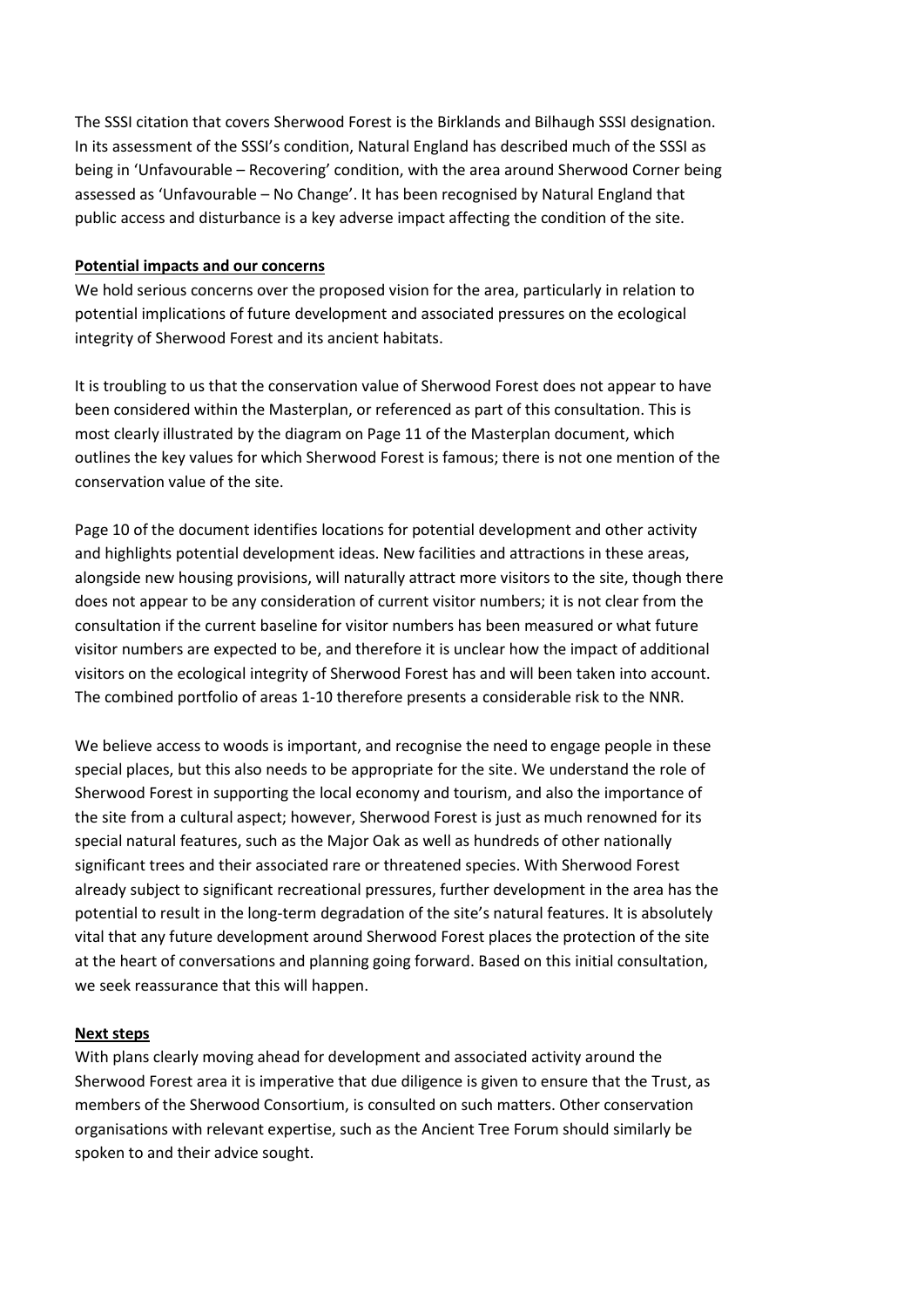The SSSI citation that covers Sherwood Forest is the Birklands and Bilhaugh SSSI designation. In its assessment of the SSSI's condition, Natural England has described much of the SSSI as being in 'Unfavourable – Recovering' condition, with the area around Sherwood Corner being assessed as 'Unfavourable – No Change'. It has been recognised by Natural England that public access and disturbance is a key adverse impact affecting the condition of the site.

## **Potential impacts and our concerns**

We hold serious concerns over the proposed vision for the area, particularly in relation to potential implications of future development and associated pressures on the ecological integrity of Sherwood Forest and its ancient habitats.

It is troubling to us that the conservation value of Sherwood Forest does not appear to have been considered within the Masterplan, or referenced as part of this consultation. This is most clearly illustrated by the diagram on Page 11 of the Masterplan document, which outlines the key values for which Sherwood Forest is famous; there is not one mention of the conservation value of the site.

Page 10 of the document identifies locations for potential development and other activity and highlights potential development ideas. New facilities and attractions in these areas, alongside new housing provisions, will naturally attract more visitors to the site, though there does not appear to be any consideration of current visitor numbers; it is not clear from the consultation if the current baseline for visitor numbers has been measured or what future visitor numbers are expected to be, and therefore it is unclear how the impact of additional visitors on the ecological integrity of Sherwood Forest has and will been taken into account. The combined portfolio of areas 1-10 therefore presents a considerable risk to the NNR.

We believe access to woods is important, and recognise the need to engage people in these special places, but this also needs to be appropriate for the site. We understand the role of Sherwood Forest in supporting the local economy and tourism, and also the importance of the site from a cultural aspect; however, Sherwood Forest is just as much renowned for its special natural features, such as the Major Oak as well as hundreds of other nationally significant trees and their associated rare or threatened species. With Sherwood Forest already subject to significant recreational pressures, further development in the area has the potential to result in the long-term degradation of the site's natural features. It is absolutely vital that any future development around Sherwood Forest places the protection of the site at the heart of conversations and planning going forward. Based on this initial consultation, we seek reassurance that this will happen.

#### **Next steps**

With plans clearly moving ahead for development and associated activity around the Sherwood Forest area it is imperative that due diligence is given to ensure that the Trust, as members of the Sherwood Consortium, is consulted on such matters. Other conservation organisations with relevant expertise, such as the Ancient Tree Forum should similarly be spoken to and their advice sought.